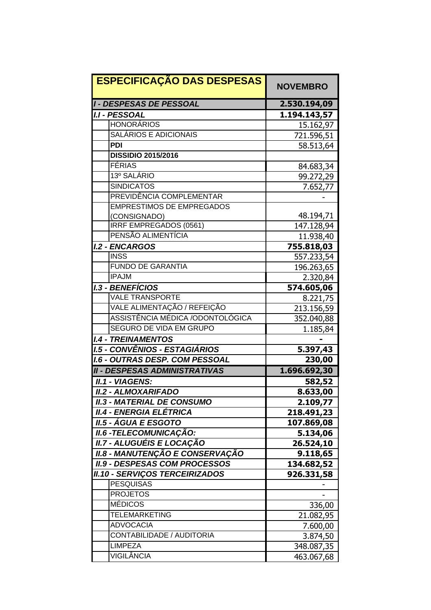| <b>ESPECIFICAÇÃO DAS DESPESAS</b>      | <b>NOVEMBRO</b> |
|----------------------------------------|-----------------|
| <b>I - DESPESAS DE PESSOAL</b>         | 2.530.194,09    |
| <b>I.I - PESSOAL</b>                   | 1.194.143,57    |
| <b>HONORÁRIOS</b>                      | 15.162,97       |
| SALÁRIOS E ADICIONAIS                  | 721.596,51      |
| <b>PDI</b>                             | 58.513,64       |
| <b>DISSIDIO 2015/2016</b>              |                 |
| <b>FÉRIAS</b>                          | 84.683,34       |
| 13º SALÁRIO                            | 99.272,29       |
| <b>SINDICATOS</b>                      | 7.652,77        |
| PREVIDÊNCIA COMPLEMENTAR               |                 |
| <b>EMPRESTIMOS DE EMPREGADOS</b>       |                 |
| (CONSIGNADO)                           | 48.194,71       |
| IRRF EMPREGADOS (0561)                 | 147.128,94      |
| PENSÃO ALIMENTÍCIA                     | 11.938,40       |
| <b>I.2 - ENCARGOS</b>                  | 755.818,03      |
| <b>INSS</b>                            | 557.233,54      |
| <b>FUNDO DE GARANTIA</b>               | 196.263,65      |
| <b>IPAJM</b>                           | 2.320,84        |
| <b>I.3 - BENEFÍCIOS</b>                | 574.605,06      |
| <b>VALE TRANSPORTE</b>                 | 8.221,75        |
| VALE ALIMENTAÇÃO / REFEIÇÃO            | 213.156,59      |
| ASSISTÊNCIA MÉDICA /ODONTOLÓGICA       | 352.040,88      |
| <b>SEGURO DE VIDA EM GRUPO</b>         | 1.185,84        |
| <b>I.4 - TREINAMENTOS</b>              |                 |
| 1.5 - CONVÊNIOS - ESTAGIÁRIOS          | 5.397,43        |
| <b>I.6 - OUTRAS DESP. COM PESSOAL</b>  | 230,00          |
| <b>II - DESPESAS ADMINISTRATIVAS</b>   | 1.696.692,30    |
| <b>II.1 - VIAGENS:</b>                 | 582,52          |
| <b>II.2 - ALMOXARIFADO</b>             | 8.633,00        |
| <b>II.3 - MATERIAL DE CONSUMO</b>      | 2.109,77        |
| <b>II.4 - ENERGIA ELÉTRICA</b>         | 218.491,23      |
| <b>II.5 - ÁGUA E ESGOTO</b>            | 107.869,08      |
| <b>II.6 -TELECOMUNICAÇÃO:</b>          | 5.134,06        |
| II.7 - ALUGUÉIS E LOCAÇÃO              | 26.524,10       |
| <b>II.8 - MANUTENÇÃO E CONSERVAÇÃO</b> | 9.118,65        |
| <b>II.9 - DESPESAS COM PROCESSOS</b>   | 134.682,52      |
| <b>II.10 - SERVIÇOS TERCEIRIZADOS</b>  | 926.331,58      |
| <b>PESQUISAS</b>                       |                 |
| <b>PROJETOS</b>                        |                 |
| <b>MÉDICOS</b>                         | 336,00          |
| <b>TELEMARKETING</b>                   | 21.082,95       |
| <b>ADVOCACIA</b>                       | 7.600,00        |
| CONTABILIDADE / AUDITORIA              | 3.874,50        |
| <b>LIMPEZA</b>                         | 348.087,35      |
| VIGILÂNCIA                             | 463.067,68      |